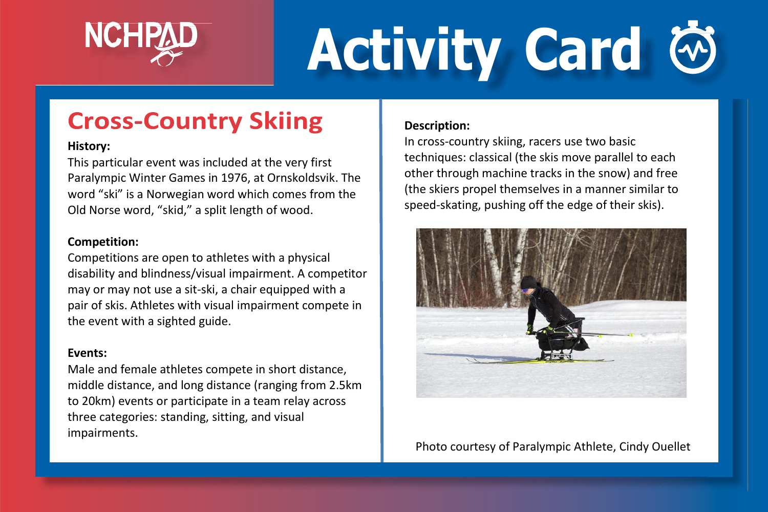

# **Activity Card**

## **Cross-Country Skiing**

#### **History:**

This particular event was included at the very first Paralympic Winter Games in 1976, at Ornskoldsvik. The word "ski" is a Norwegian word which comes from the Old Norse word, "skid," a split length of wood.

#### **Competition:**

Competitions are open to athletes with a physical disability and blindness/visual impairment. A competitor may or may not use a sit-ski, a chair equipped with a pair of skis. Athletes with visual impairment compete in the event with a sighted guide.

#### **Events:**

Male and female athletes compete in short distance, middle distance, and long distance (ranging from 2.5km to 20km) events or participate in a team relay across three categories: standing, sitting, and visual impairments.

#### **Description:**

In cross-country skiing, racers use two basic techniques: classical (the skis move parallel to each other through machine tracks in the snow) and free (the skiers propel themselves in a manner similar to speed-skating, pushing off the edge of their skis).



Photo courtesy of Paralympic Athlete, Cindy Ouellet